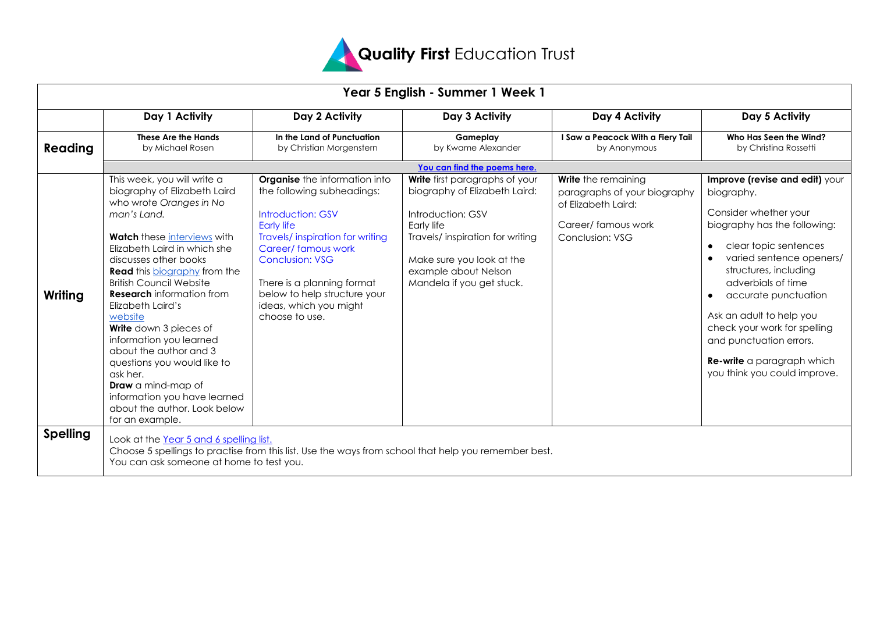

| Year 5 English - Summer 1 Week 1 |                                                                                                                                                                                                                                                                                                                                                                                                                                                                                                                                                                                             |                                                                                                                                                                                                                                                                                                                   |                                                                                                                                                                                                                          |                                                                                                                            |                                                                                                                                                                                                                                                                                                                                                                                                                         |  |  |  |  |
|----------------------------------|---------------------------------------------------------------------------------------------------------------------------------------------------------------------------------------------------------------------------------------------------------------------------------------------------------------------------------------------------------------------------------------------------------------------------------------------------------------------------------------------------------------------------------------------------------------------------------------------|-------------------------------------------------------------------------------------------------------------------------------------------------------------------------------------------------------------------------------------------------------------------------------------------------------------------|--------------------------------------------------------------------------------------------------------------------------------------------------------------------------------------------------------------------------|----------------------------------------------------------------------------------------------------------------------------|-------------------------------------------------------------------------------------------------------------------------------------------------------------------------------------------------------------------------------------------------------------------------------------------------------------------------------------------------------------------------------------------------------------------------|--|--|--|--|
|                                  | Day 1 Activity                                                                                                                                                                                                                                                                                                                                                                                                                                                                                                                                                                              | Day 2 Activity                                                                                                                                                                                                                                                                                                    | Day 3 Activity                                                                                                                                                                                                           | Day 4 Activity                                                                                                             | Day 5 Activity                                                                                                                                                                                                                                                                                                                                                                                                          |  |  |  |  |
| Reading                          | These Are the Hands<br>by Michael Rosen                                                                                                                                                                                                                                                                                                                                                                                                                                                                                                                                                     | In the Land of Punctuation<br>by Christian Morgenstern                                                                                                                                                                                                                                                            | Gameplay<br>by Kwame Alexander                                                                                                                                                                                           | I Saw a Peacock With a Fiery Tail<br>by Anonymous                                                                          | Who Has Seen the Wind?<br>by Christina Rossetti                                                                                                                                                                                                                                                                                                                                                                         |  |  |  |  |
|                                  | You can find the poems here.                                                                                                                                                                                                                                                                                                                                                                                                                                                                                                                                                                |                                                                                                                                                                                                                                                                                                                   |                                                                                                                                                                                                                          |                                                                                                                            |                                                                                                                                                                                                                                                                                                                                                                                                                         |  |  |  |  |
| Writing                          | This week, you will write a<br>biography of Elizabeth Laird<br>who wrote Oranges in No<br>man's Land.<br><b>Watch</b> these interviews with<br>Elizabeth Laird in which she<br>discusses other books<br><b>Read</b> this <b>biography</b> from the<br><b>British Council Website</b><br><b>Research</b> information from<br>Elizabeth Laird's<br>website<br>Write down 3 pieces of<br>information you learned<br>about the author and 3<br>questions you would like to<br>ask her.<br>Draw a mind-map of<br>information you have learned<br>about the author. Look below<br>for an example. | <b>Organise</b> the information into<br>the following subheadings:<br><b>Introduction: GSV</b><br><b>Early life</b><br>Travels/inspiration for writing<br>Career/ famous work<br><b>Conclusion: VSG</b><br>There is a planning format<br>below to help structure your<br>ideas, which you might<br>choose to use. | Write first paragraphs of your<br>biography of Elizabeth Laird:<br>Introduction: GSV<br>Early life<br>Travels/ inspiration for writing<br>Make sure you look at the<br>example about Nelson<br>Mandela if you get stuck. | Write the remaining<br>paragraphs of your biography<br>of Elizabeth Laird:<br>Career/famous work<br><b>Conclusion: VSG</b> | Improve (revise and edit) your<br>biography.<br>Consider whether your<br>biography has the following:<br>clear topic sentences<br>$\bullet$<br>varied sentence openers/<br>structures, including<br>adverbials of time<br>accurate punctuation<br>$\bullet$<br>Ask an adult to help you<br>check your work for spelling<br>and punctuation errors.<br><b>Re-write</b> a paragraph which<br>you think you could improve. |  |  |  |  |
| <b>Spelling</b>                  | Look at the Year 5 and 6 spelling list.<br>You can ask someone at home to test you.                                                                                                                                                                                                                                                                                                                                                                                                                                                                                                         | Choose 5 spellings to practise from this list. Use the ways from school that help you remember best.                                                                                                                                                                                                              |                                                                                                                                                                                                                          |                                                                                                                            |                                                                                                                                                                                                                                                                                                                                                                                                                         |  |  |  |  |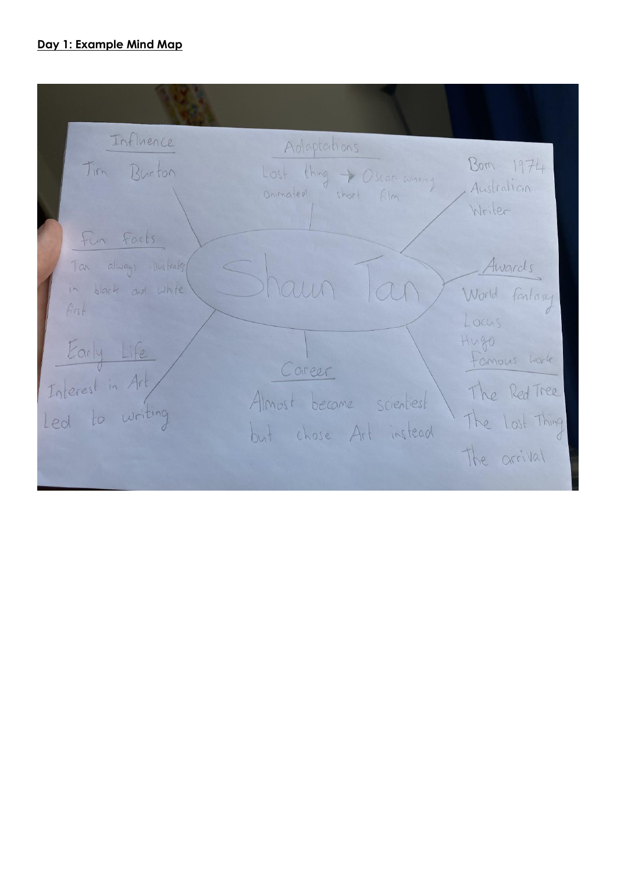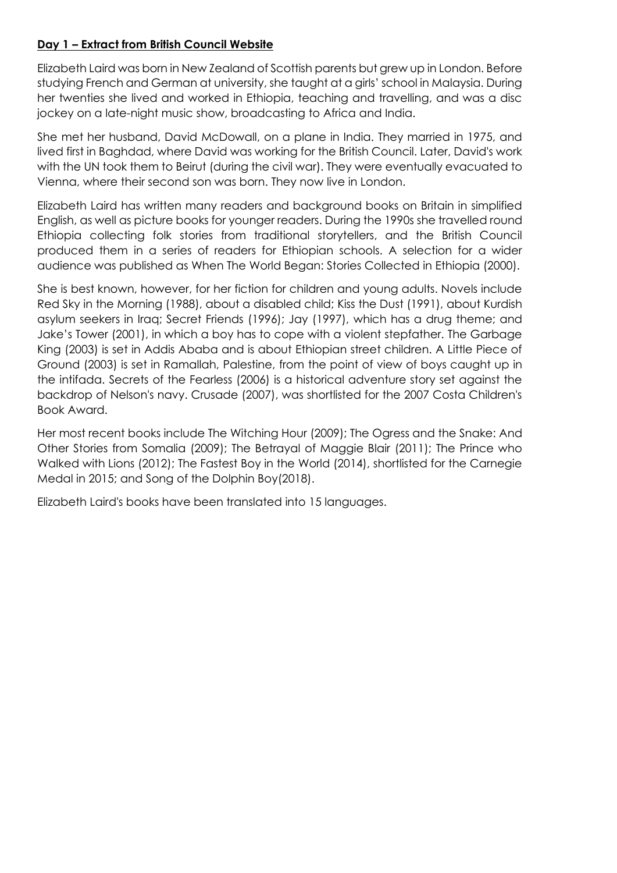# **Day 1 – Extract from British Council Website**

Elizabeth Laird was born in New Zealand of Scottish parents but grew up in London. Before studying French and German at university, she taught at a girls' school in Malaysia. During her twenties she lived and worked in Ethiopia, teaching and travelling, and was a disc jockey on a late-night music show, broadcasting to Africa and India.

She met her husband, David McDowall, on a plane in India. They married in 1975, and lived first in Baghdad, where David was working for the British Council. Later, David's work with the UN took them to Beirut (during the civil war). They were eventually evacuated to Vienna, where their second son was born. They now live in London.

Elizabeth Laird has written many readers and background books on Britain in simplified English, as well as picture books for younger readers. During the 1990s she travelled round Ethiopia collecting folk stories from traditional storytellers, and the British Council produced them in a series of readers for Ethiopian schools. A selection for a wider audience was published as When The World Began: Stories Collected in Ethiopia (2000).

She is best known, however, for her fiction for children and young adults. Novels include Red Sky in the Morning (1988), about a disabled child; Kiss the Dust (1991), about Kurdish asylum seekers in Iraq; Secret Friends (1996); Jay (1997), which has a drug theme; and Jake's Tower (2001), in which a boy has to cope with a violent stepfather. The Garbage King (2003) is set in Addis Ababa and is about Ethiopian street children. A Little Piece of Ground (2003) is set in Ramallah, Palestine, from the point of view of boys caught up in the intifada. Secrets of the Fearless (2006) is a historical adventure story set against the backdrop of Nelson's navy. Crusade (2007), was shortlisted for the 2007 Costa Children's Book Award.

Her most recent books include The Witching Hour (2009); The Ogress and the Snake: And Other Stories from Somalia (2009); The Betrayal of Maggie Blair (2011); The Prince who Walked with Lions (2012); The Fastest Boy in the World (2014), shortlisted for the Carnegie Medal in 2015; and Song of the Dolphin Boy(2018).

Elizabeth Laird's books have been translated into 15 languages.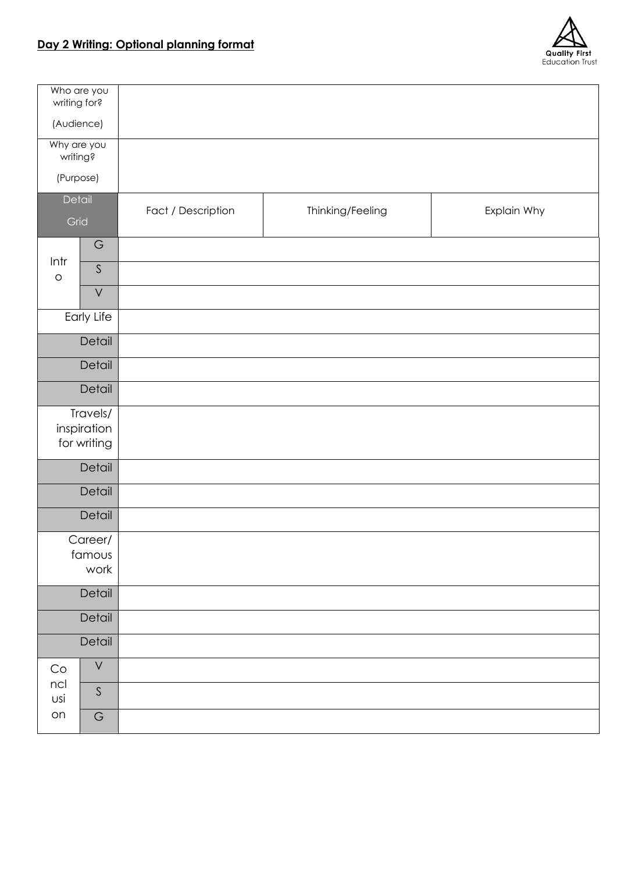

| Who are you<br>writing for?            |                            |                                                       |  |  |  |  |  |
|----------------------------------------|----------------------------|-------------------------------------------------------|--|--|--|--|--|
| (Audience)                             |                            |                                                       |  |  |  |  |  |
| Why are you<br>writing?                |                            |                                                       |  |  |  |  |  |
|                                        | (Purpose)                  |                                                       |  |  |  |  |  |
| Detail<br>Grid                         |                            | Fact / Description<br>Thinking/Feeling<br>Explain Why |  |  |  |  |  |
| Intr                                   | $\mathsf G$<br>$\mathsf S$ |                                                       |  |  |  |  |  |
| $\circ$                                | $\bigvee$                  |                                                       |  |  |  |  |  |
|                                        | Early Life                 |                                                       |  |  |  |  |  |
|                                        | Detail                     |                                                       |  |  |  |  |  |
|                                        | Detail                     |                                                       |  |  |  |  |  |
| Detail                                 |                            |                                                       |  |  |  |  |  |
| Travels/<br>inspiration<br>for writing |                            |                                                       |  |  |  |  |  |
|                                        | Detail                     |                                                       |  |  |  |  |  |
| Detail                                 |                            |                                                       |  |  |  |  |  |
|                                        | Detail                     |                                                       |  |  |  |  |  |
| Career/<br>famous<br>work              |                            |                                                       |  |  |  |  |  |
|                                        | Detail                     |                                                       |  |  |  |  |  |
|                                        | Detail                     |                                                       |  |  |  |  |  |
| Detail                                 |                            |                                                       |  |  |  |  |  |
| $\mathop{\rm Co}\nolimits$             | $\bigvee$                  |                                                       |  |  |  |  |  |
| ncl<br>USİ                             | $\mathsf S$                |                                                       |  |  |  |  |  |
| on                                     | $\mathsf G$                |                                                       |  |  |  |  |  |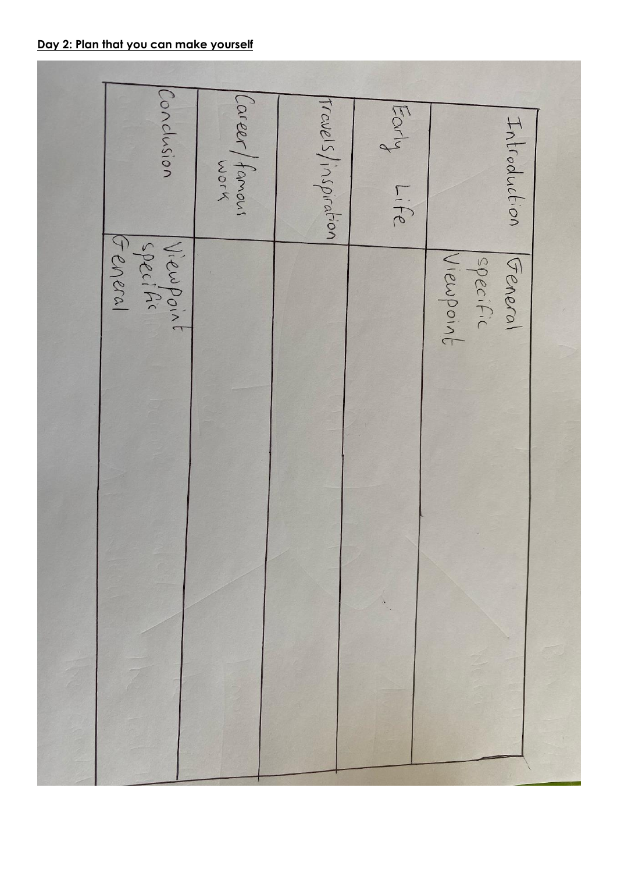| Conclusion                       | Career/famous | Travels/inspiration | Forly<br>Life | Introduction                     |
|----------------------------------|---------------|---------------------|---------------|----------------------------------|
| General<br>Viewpoint<br>Specific |               |                     |               | Viewpoint<br>specific<br>General |
|                                  |               |                     |               |                                  |
|                                  |               |                     |               |                                  |